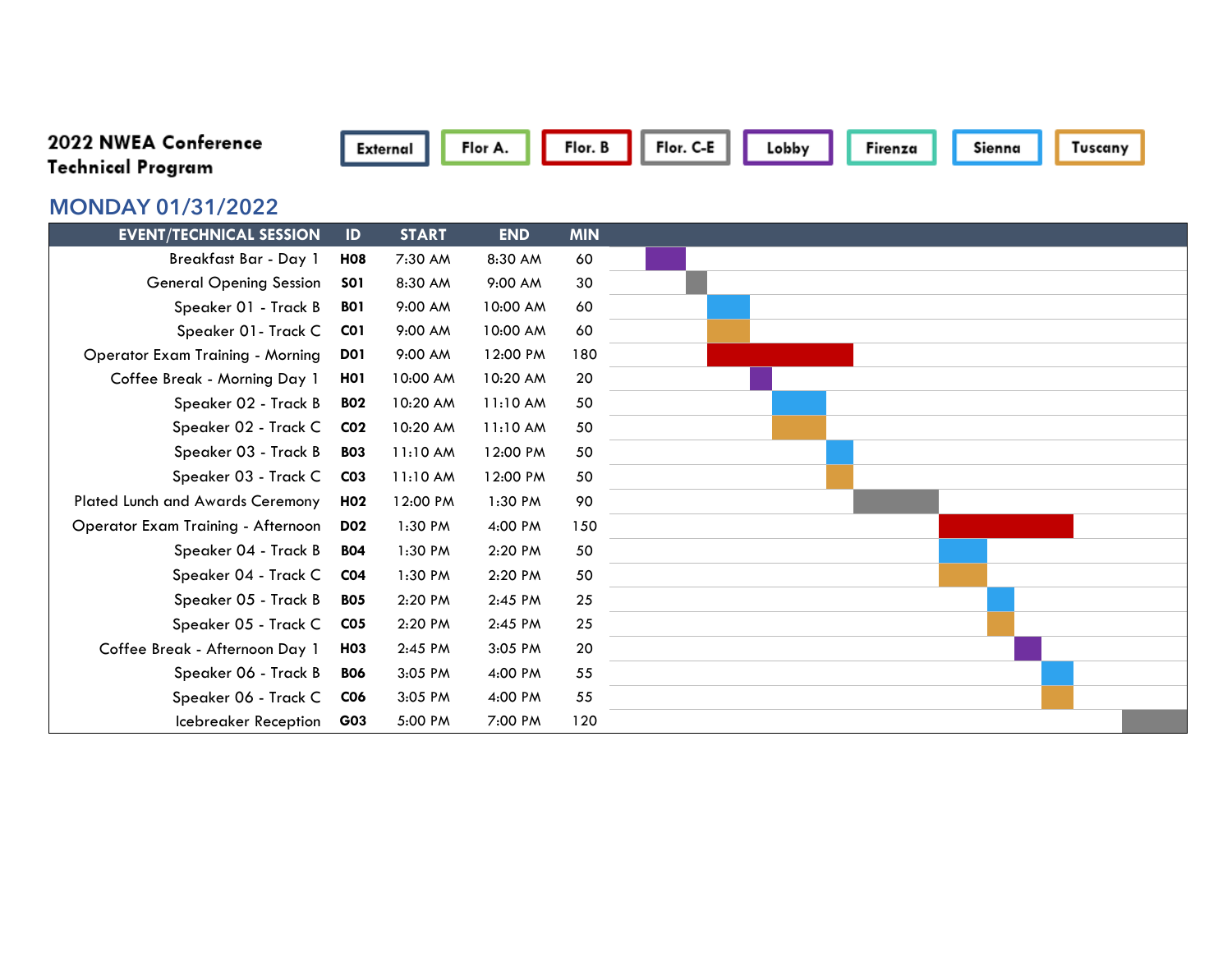## 2022 NWEA Conference **Technical Program**



## **MONDAY 01/31/2022**

| <b>EVENT/TECHNICAL SESSION</b>            | ID               | <b>START</b> | <b>END</b> | <b>MIN</b> |  |
|-------------------------------------------|------------------|--------------|------------|------------|--|
| Breakfast Bar - Day 1                     | <b>HO8</b>       | 7:30 AM      | 8:30 AM    | 60         |  |
| <b>General Opening Session</b>            | <b>SO1</b>       | 8:30 AM      | 9:00 AM    | 30         |  |
| Speaker 01 - Track B                      | <b>BO1</b>       | 9:00 AM      | 10:00 AM   | 60         |  |
| Speaker 01- Track C                       | CO <sub>1</sub>  | 9:00 AM      | 10:00 AM   | 60         |  |
| <b>Operator Exam Training - Morning</b>   | <b>D01</b>       | 9:00 AM      | 12:00 PM   | 180        |  |
| Coffee Break - Morning Day 1              | H <sub>0</sub> 1 | 10:00 AM     | 10:20 AM   | 20         |  |
| Speaker 02 - Track B                      | <b>BO2</b>       | 10:20 AM     | 11:10 AM   | 50         |  |
| Speaker 02 - Track C                      | CO <sub>2</sub>  | 10:20 AM     | 11:10 AM   | 50         |  |
| Speaker 03 - Track B                      | <b>BO3</b>       | 11:10 AM     | 12:00 PM   | 50         |  |
| Speaker 03 - Track C                      | CO <sub>3</sub>  | 11:10 AM     | 12:00 PM   | 50         |  |
| Plated Lunch and Awards Ceremony          | H <sub>02</sub>  | 12:00 PM     | 1:30 PM    | 90         |  |
| <b>Operator Exam Training - Afternoon</b> | <b>D02</b>       | 1:30 PM      | 4:00 PM    | 150        |  |
| Speaker 04 - Track B                      | <b>BO4</b>       | 1:30 PM      | 2:20 PM    | 50         |  |
| Speaker 04 - Track C                      | CO <sub>4</sub>  | 1:30 PM      | 2:20 PM    | 50         |  |
| Speaker 05 - Track B                      | <b>BO5</b>       | 2:20 PM      | 2:45 PM    | 25         |  |
| Speaker 05 - Track C                      | C <sub>05</sub>  | 2:20 PM      | 2:45 PM    | 25         |  |
| Coffee Break - Afternoon Day 1            | H <sub>03</sub>  | 2:45 PM      | 3:05 PM    | 20         |  |
| Speaker 06 - Track B                      | <b>BO6</b>       | 3:05 PM      | 4:00 PM    | 55         |  |
| Speaker 06 - Track C                      | <b>CO6</b>       | 3:05 PM      | 4:00 PM    | 55         |  |
| Icebreaker Reception                      | G03              | 5:00 PM      | 7:00 PM    | 120        |  |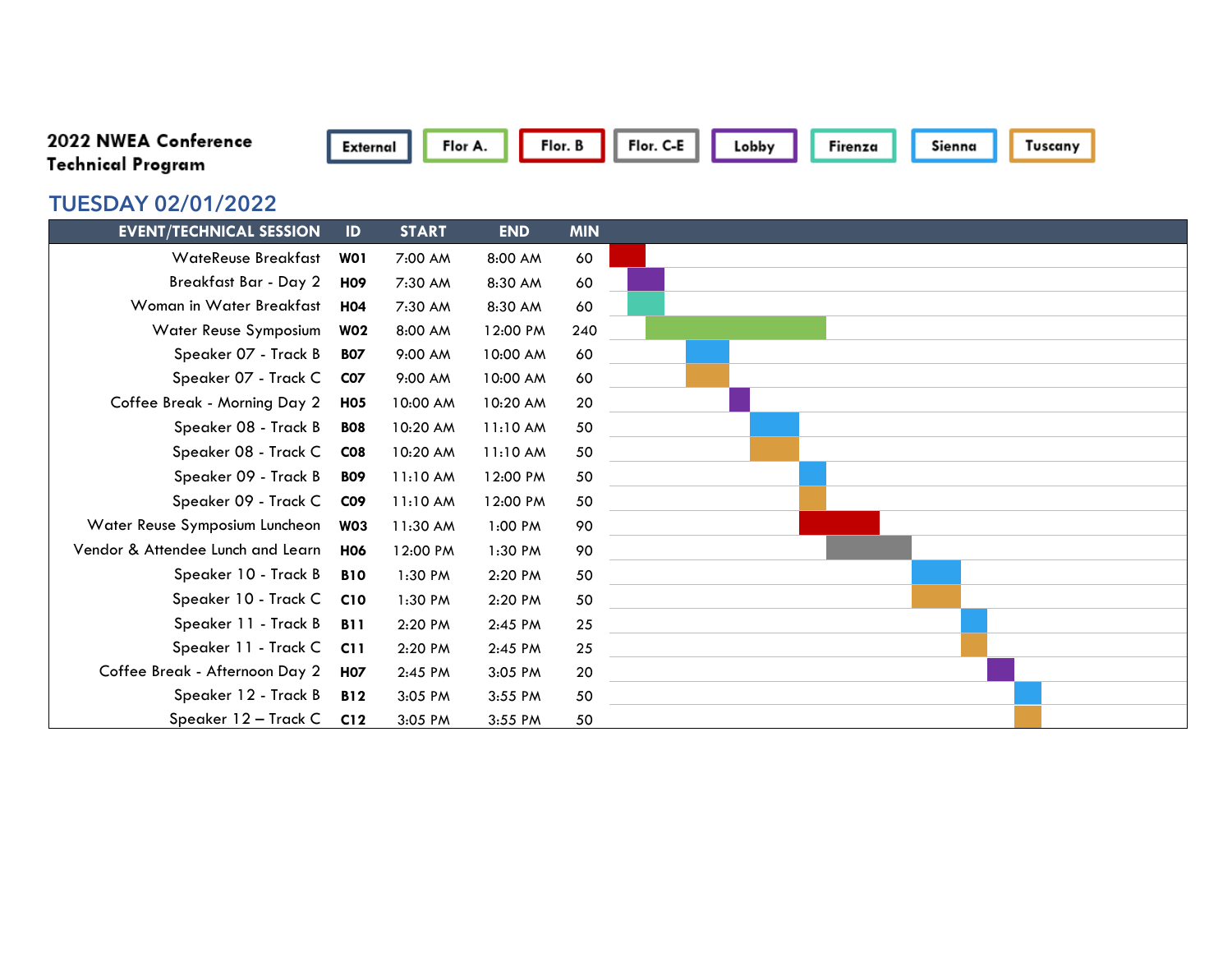| 2022 NWEA Conference              | External        | Flor A.      |            | Flor. B    | Flor. C-E | Lobby                                                                                                                  | Firenza | Sienna | Tuscany |  |
|-----------------------------------|-----------------|--------------|------------|------------|-----------|------------------------------------------------------------------------------------------------------------------------|---------|--------|---------|--|
| <b>Technical Program</b>          |                 |              |            |            |           |                                                                                                                        |         |        |         |  |
| <b>TUESDAY 02/01/2022</b>         |                 |              |            |            |           |                                                                                                                        |         |        |         |  |
| <b>EVENT/TECHNICAL SESSION</b>    | $\mathsf{ID}$   | <b>START</b> | <b>END</b> | <b>MIN</b> |           |                                                                                                                        |         |        |         |  |
| <b>WateReuse Breakfast</b>        | WO1             | 7:00 AM      | 8:00 AM    | 60         |           |                                                                                                                        |         |        |         |  |
| <b>Breakfast Bar - Day 2</b>      | <b>H09</b>      | 7:30 AM      | 8:30 AM    | 60         |           |                                                                                                                        |         |        |         |  |
| Woman in Water Breakfast          | <b>H04</b>      | 7:30 AM      | 8:30 AM    | 60         |           |                                                                                                                        |         |        |         |  |
| Water Reuse Symposium             | <b>W02</b>      | 8:00 AM      | 12:00 PM   | 240        |           |                                                                                                                        |         |        |         |  |
| Speaker 07 - Track B              | <b>BO7</b>      | 9:00 AM      | 10:00 AM   | 60         |           |                                                                                                                        |         |        |         |  |
| Speaker 07 - Track C              | <b>CO7</b>      | 9:00 AM      | 10:00 AM   | 60         |           |                                                                                                                        |         |        |         |  |
| Coffee Break - Morning Day 2      | <b>H05</b>      | 10:00 AM     | 10:20 AM   | 20         |           |                                                                                                                        |         |        |         |  |
| Speaker 08 - Track B              | <b>BO8</b>      | 10:20 AM     | 11:10 AM   | 50         |           |                                                                                                                        |         |        |         |  |
| Speaker 08 - Track C              | C <sub>08</sub> | 10:20 AM     | 11:10 AM   | 50         |           |                                                                                                                        |         |        |         |  |
| Speaker 09 - Track B              | <b>BO9</b>      | 11:10 AM     | 12:00 PM   | 50         |           |                                                                                                                        |         |        |         |  |
| Speaker 09 - Track C              | <b>CO9</b>      | 11:10 AM     | 12:00 PM   | 50         |           |                                                                                                                        |         |        |         |  |
| Water Reuse Symposium Luncheon    | <b>W03</b>      | 11:30 AM     | 1:00 PM    | 90         |           |                                                                                                                        |         |        |         |  |
| Vendor & Attendee Lunch and Learn | <b>H06</b>      | 12:00 PM     | 1:30 PM    | 90         |           |                                                                                                                        |         |        |         |  |
| Speaker 10 - Track B              | <b>B10</b>      | 1:30 PM      | 2:20 PM    | 50         |           | <u> 1980 - Jan Sterling von Berger von Berger von Berger von Berger von Berger von Berger von Berger von Berger</u>    |         |        |         |  |
| Speaker 10 - Track C              | C <sub>10</sub> | 1:30 PM      | 2:20 PM    | 50         |           | <u> 1980 - Johann Barbara, martxa alemaniar a</u>                                                                      |         |        |         |  |
| Speaker 11 - Track B              | <b>B11</b>      | 2:20 PM      | 2:45 PM    | 25         |           | <u> 1989 - Johann Stein, fransk politik (</u>                                                                          |         |        |         |  |
| Speaker 11 - Track C              | C11             | 2:20 PM      | 2:45 PM    | 25         |           | <u> 1989 - Johann Barbara, martin amerikan basal dan bahasa dalam basal dan basal dan basal dan basal dan basal da</u> |         |        |         |  |
| Coffee Break - Afternoon Day 2    | <b>H07</b>      | 2:45 PM      | 3:05 PM    | 20         |           | <u> 1980 - Andrea Andrew Maria (h. 1980).</u>                                                                          |         |        |         |  |
| Speaker 12 - Track B              | <b>B12</b>      | 3:05 PM      | 3:55 PM    | 50         |           | the contract of the contract of the contract of the contract of the contract of the contract of the contract of        |         |        |         |  |
| Speaker 12 - Track C              | C12             | 3:05 PM      | 3:55 PM    | 50         |           |                                                                                                                        |         |        |         |  |